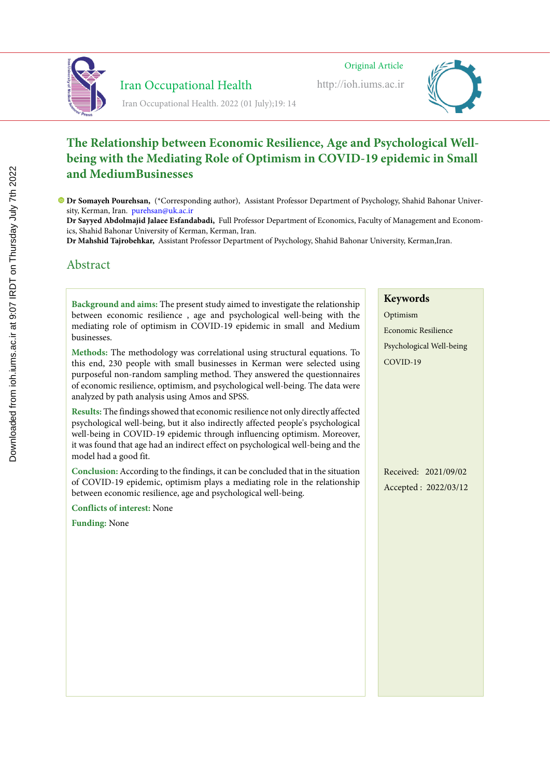

Iran Occupational Health

Iran Occupational Health. 2022 (01 July);19: 14

 Iran Occupational Healthhttp://ioh.iums.ac.ir Original Article Original Article Original Article Iran Occupational Healthhttp://ioh.iums.ac.ir

http://ioh.iums.ac.ir



#### **The Relationship between Economic Resilience, Age and Psychological Wellbeing with the Mediating Role of Optimism in COVID-19 epidemic in Small**  and MediumBusinesses and the state of the state of the state of the state of the state of the state of the state of the state of the state of the state of the state of the state of the state of the state of the state of th **Lighting and color temperature assessment in the office workplaces and relationship between Eq. Lighting and color temperature assessment in the office workplaces and relationship between** Eq.

Dr Somayeh Pourehsan, (\*Corresponding author), Assistant Professor Department of Psychology, Shahid Bahonar University, Kerman, Iran. purehsan@uk.ac.ir and a state of the state of the state of the state of the state of the state of the state of the state of the state of the state of the state of the state of the state of the state of r Somayeh Po

Dr Sayyed Abdolmajid Jalaee Esfandabadi, Full Professor Department of Economics, Faculty of Management and Economics, Shahid Bahonar University of Kerman, Kerman, Iran.

res, oname bunonar University of Refinan, Refinan, Itan.<br>**Dr Mahshid Tajrobehkar,** Assistant Professor Department of Psychology, Shahid Bahonar University, Kerman,Iran.

# Abstract Abstract Abstract

B**ackground and aims:** The present study aimed to investigate the relationship between economic resilience, age and psychological well-being with the mediating role of optimism in COVID-19 epidemic in small and Medium businesses. Background and aims: The present study aimed to investigate the relationship

**Background and aims:** Lighting directly and indirectly affects employees' mental

the workplace. Lighting can provide comfortable working conditions, especially Methods: The methodology was correlational using structural equations. To this end, 230 people with small businesses in Kerman were selected using purposeful non-random sampling method. They answered the questionnaires of economic resilience, optimism, and psychological well-being. The data were analyzed by path analysis using Amos and SPSS. can also affect one of the factors associated with  $\sigma$ the workplace. Lighting can provide comfortable working conditions, especially Methods: The methodology was correlational using structural equations. To can also affect one of the factors affect one of the factors associated with the factors associated with the f

**Results:** The findings showed that economic resilience not only directly affected psychological well-being, but it also indirectly affected people's psychological well-being in COVID-19 epidemic through influencing optimism. Moreover, it was found that age had an indirect effect on psychological well-being and the model had a good fit. That different lighting are important control of the studies of the studies of the studies of the studies of the studies of the studies of the studies of the studies of the studies of the studies of t  $\sum_{i=1}^{n}$ **Results:** The findings showed that economic resilience not only directly affected in a figure psychologically and physiologically and physiologically and physiologically, the interview of  $\sigma$ 

C**onclusion:** According to the findings, it can be concluded that in the situation of COVID-19 epidemic, optimism plays a mediating role in the relationship between economic resilience, age and psychological well-being. Conclusion: According to the findings, it can be concluded that in the situation

and of the ceived less attention. Comparison is found to have effects at the second to have effects at  $\mathbf{r}$ Followis of interest; in the right selection of  $\mathcal{L}$ and of the ceived less attention. Comparison is found to have effects at the second to have effects at the second to have effects of  $\mathbb{R}^n$ . **Conflicts of interest:** None

**Funding:** None sleepiness. Studies have shown that insufficient and uncomfortable lightning sleepiness. Studies have shown that insufficient and uncomfortable lightning

#### **Keywords**  $L_{\nu}$ **Keywords** Keywords

Optimism Economic Resilience Psychological Well-being COVID-19

Received: 2021/09/02 Accepted : 2022/03/12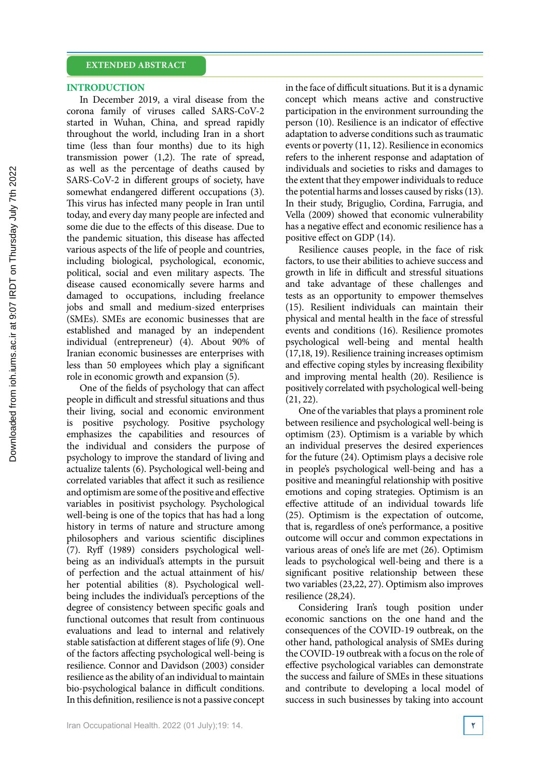### **INTRODUCTION**

In December 2019, a viral disease from the corona family of viruses called SARS-CoV-2 started in Wuhan, China, and spread rapidly throughout the world, including Iran in a short time (less than four months) due to its high transmission power (1,2). The rate of spread, as well as the percentage of deaths caused by SARS-CoV-2 in different groups of society, have somewhat endangered different occupations (3). This virus has infected many people in Iran until today, and every day many people are infected and some die due to the effects of this disease. Due to the pandemic situation, this disease has affected various aspects of the life of people and countries, including biological, psychological, economic, political, social and even military aspects. The disease caused economically severe harms and damaged to occupations, including freelance jobs and small and medium-sized enterprises (SMEs). SMEs are economic businesses that are established and managed by an independent individual (entrepreneur) (4). About 90% of Iranian economic businesses are enterprises with less than 50 employees which play a significant role in economic growth and expansion (5).

One of the fields of psychology that can affect people in difficult and stressful situations and thus their living, social and economic environment is positive psychology. Positive psychology emphasizes the capabilities and resources of the individual and considers the purpose of psychology to improve the standard of living and actualize talents (6). Psychological well-being and correlated variables that affect it such as resilience and optimism are some of the positive and effective variables in positivist psychology. Psychological well-being is one of the topics that has had a long history in terms of nature and structure among philosophers and various scientific disciplines (7). Ryff (1989) considers psychological wellbeing as an individual's attempts in the pursuit of perfection and the actual attainment of his/ her potential abilities (8). Psychological wellbeing includes the individual's perceptions of the degree of consistency between specific goals and functional outcomes that result from continuous evaluations and lead to internal and relatively stable satisfaction at different stages of life (9). One of the factors affecting psychological well-being is resilience. Connor and Davidson (2003) consider resilience as the ability of an individual to maintain bio-psychological balance in difficult conditions. In this definition, resilience is not a passive concept

in the face of difficult situations. But it is a dynamic concept which means active and constructive participation in the environment surrounding the person (10). Resilience is an indicator of effective adaptation to adverse conditions such as traumatic events or poverty (11, 12). Resilience in economics refers to the inherent response and adaptation of individuals and societies to risks and damages to the extent that they empower individuals to reduce the potential harms and losses caused by risks (13). In their study, Briguglio, Cordina, Farrugia, and Vella (2009) showed that economic vulnerability has a negative effect and economic resilience has a positive effect on GDP (14).

Resilience causes people, in the face of risk factors, to use their abilities to achieve success and growth in life in difficult and stressful situations and take advantage of these challenges and tests as an opportunity to empower themselves (15). Resilient individuals can maintain their physical and mental health in the face of stressful events and conditions (16). Resilience promotes psychological well-being and mental health (17,18, 19). Resilience training increases optimism and effective coping styles by increasing flexibility and improving mental health (20). Resilience is positively correlated with psychological well-being (21, 22).

One of the variables that plays a prominent role between resilience and psychological well-being is optimism (23). Optimism is a variable by which an individual preserves the desired experiences for the future (24). Optimism plays a decisive role in people's psychological well-being and has a positive and meaningful relationship with positive emotions and coping strategies. Optimism is an effective attitude of an individual towards life (25). Optimism is the expectation of outcome, that is, regardless of one's performance, a positive outcome will occur and common expectations in various areas of one's life are met (26). Optimism leads to psychological well-being and there is a significant positive relationship between these two variables (23,22, 27). Optimism also improves resilience (28,24).

Considering Iran's tough position under economic sanctions on the one hand and the consequences of the COVID-19 outbreak, on the other hand, pathological analysis of SMEs during the COVID-19 outbreak with a focus on the role of effective psychological variables can demonstrate the success and failure of SMEs in these situations and contribute to developing a local model of success in such businesses by taking into account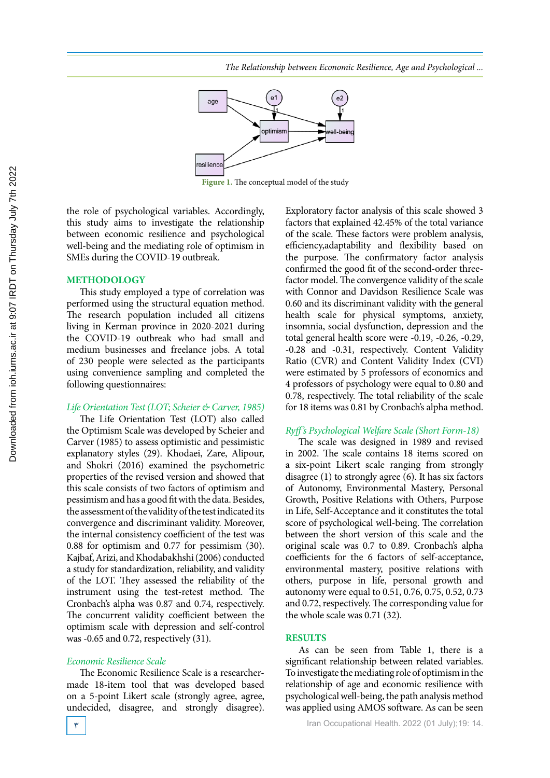

**Figure 1.** The conceptual model of the study

the role of psychological variables. Accordingly, Exploratory factor this study aims to investigate the relationship between economic resilience and psychological well-being and the mediating role of optimism in SMEs during the COVID-19 outbreak.

#### **METHODOLOGY**

This study employed a type of correlation was performed using the structural equation method. The research population included all citizens living in Kerman province in 2020-2021 during the COVID-19 outbreak who had small and medium businesses and freelance jobs. A total of 230 people were selected as the participants using convenience sampling and completed the following questionnaires:

#### *Life Orientation Test (LOT; Scheier & Carver, 1985)*

The Life Orientation Test (LOT) also called the Optimism Scale was developed by Scheier and Carver (1985) to assess optimistic and pessimistic explanatory styles (29). Khodaei, Zare, Alipour, and Shokri (2016) examined the psychometric properties of the revised version and showed that this scale consists of two factors of optimism and pessimism and has a good fit with the data. Besides, the assessment of the validity of the test indicated its convergence and discriminant validity. Moreover, the internal consistency coefficient of the test was 0.88 for optimism and 0.77 for pessimism (30). Kajbaf, Arizi, and Khodabakhshi (2006) conducted a study for standardization, reliability, and validity of the LOT. They assessed the reliability of the instrument using the test-retest method. The Cronbach's alpha was 0.87 and 0.74, respectively. The concurrent validity coefficient between the optimism scale with depression and self-control was -0.65 and 0.72, respectively (31).

### *Economic Resilience Scale*

The Economic Resilience Scale is a researchermade 18-item tool that was developed based on a 5-point Likert scale (strongly agree, agree, undecided, disagree, and strongly disagree). Exploratory factor analysis of this scale showed 3 factors that explained 42.45% of the total variance of the scale. These factors were problem analysis, efficiency,adaptability and flexibility based on the purpose. The confirmatory factor analysis confirmed the good fit of the second-order threefactor model. The convergence validity of the scale with Connor and Davidson Resilience Scale was 0.60 and its discriminant validity with the general health scale for physical symptoms, anxiety, insomnia, social dysfunction, depression and the total general health score were -0.19, -0.26, -0.29, -0.28 and -0.31, respectively. Content Validity Ratio (CVR) and Content Validity Index (CVI) were estimated by 5 professors of economics and 4 professors of psychology were equal to 0.80 and 0.78, respectively. The total reliability of the scale for 18 items was 0.81 by Cronbach's alpha method.

### *Ryff's Psychological Welfare Scale (Short Form-18)*

The scale was designed in 1989 and revised in 2002. The scale contains 18 items scored on a six-point Likert scale ranging from strongly disagree  $(1)$  to strongly agree  $(6)$ . It has six factors of Autonomy, Environmental Mastery, Personal Growth, Positive Relations with Others, Purpose in Life, Self-Acceptance and it constitutes the total score of psychological well-being. The correlation between the short version of this scale and the original scale was 0.7 to 0.89. Cronbach's alpha coefficients for the 6 factors of self-acceptance, environmental mastery, positive relations with others, purpose in life, personal growth and autonomy were equal to 0.51, 0.76, 0.75, 0.52, 0.73 and 0.72, respectively. The corresponding value for the whole scale was 0.71 (32).

#### **RESULTS**

As can be seen from Table 1, there is a significant relationship between related variables. To investigate the mediating role of optimism in the relationship of age and economic resilience with psychological well-being, the path analysis method was applied using AMOS software. As can be seen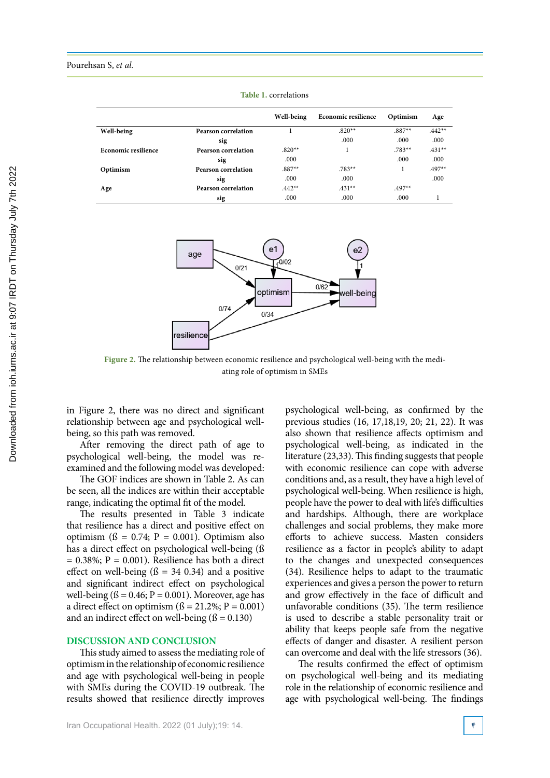|                            |                            | Well-being | <b>Economic resilience</b> | Optimism | Age      |
|----------------------------|----------------------------|------------|----------------------------|----------|----------|
| Well-being                 | <b>Pearson correlation</b> |            | $.820**$                   | $.887**$ | $.442**$ |
|                            | sig                        |            | .000                       | .000     | .000     |
| <b>Economic resilience</b> | Pearson correlation        | $.820**$   |                            | $.783**$ | $.431**$ |
|                            | sig                        | .000       |                            | .000     | .000     |
| Optimism                   | <b>Pearson correlation</b> | $.887**$   | $.783**$                   |          | $.497**$ |
|                            | sig                        | .000       | .000                       |          | .000     |
| Age                        | <b>Pearson correlation</b> | $.442**$   | $.431**$                   | $.497**$ |          |
|                            | sig                        | .000       | .000                       | .000     |          |

**Table1: correlations Table 1.** correlations



**Figure 2.** The relationship between economic resilience and psychological well-being with the mediating role of optimism in SMEs

in Figure 2, there was no direct and significant relationship between age and psychological wellbeing, so this path was removed.

After removing the direct path of age to psychological well-being, the model was reexamined and the following model was developed:

The GOF indices are shown in Table 2. As can be seen, all the indices are within their acceptable range, indicating the optimal fit of the model.

The results presented in Table 3 indicate that resilience has a direct and positive effect on optimism ( $\beta = 0.74$ ;  $P = 0.001$ ). Optimism also has a direct effect on psychological well-being (ß  $= 0.38\%$ ; P = 0.001). Resilience has both a direct effect on well-being  $(6 = 34, 0.34)$  and a positive and significant indirect effect on psychological well-being  $($ ß = 0.46; P = 0.001). Moreover, age has a direct effect on optimism  $(S = 21.2\%; P = 0.001)$ and an indirect effect on well-being  $(6 = 0.130)$ 

#### **DISCUSSION AND CONCLUSION**

This study aimed to assess the mediating role of optimism in the relationship of economic resilience and age with psychological well-being in people with SMEs during the COVID-19 outbreak. The results showed that resilience directly improves

psychological well-being, as confirmed by the previous studies (16, 17,18,19, 20; 21, 22). It was also shown that resilience affects optimism and psychological well-being, as indicated in the literature (23,33). This finding suggests that people with economic resilience can cope with adverse conditions and, as a result, they have a high level of psychological well-being. When resilience is high, people have the power to deal with life's difficulties and hardships. Although, there are workplace challenges and social problems, they make more efforts to achieve success. Masten considers resilience as a factor in people's ability to adapt to the changes and unexpected consequences (34). Resilience helps to adapt to the traumatic experiences and gives a person the power to return and grow effectively in the face of difficult and unfavorable conditions (35). The term resilience is used to describe a stable personality trait or ability that keeps people safe from the negative effects of danger and disaster. A resilient person can overcome and deal with the life stressors (36).

The results confirmed the effect of optimism on psychological well-being and its mediating role in the relationship of economic resilience and age with psychological well-being. The findings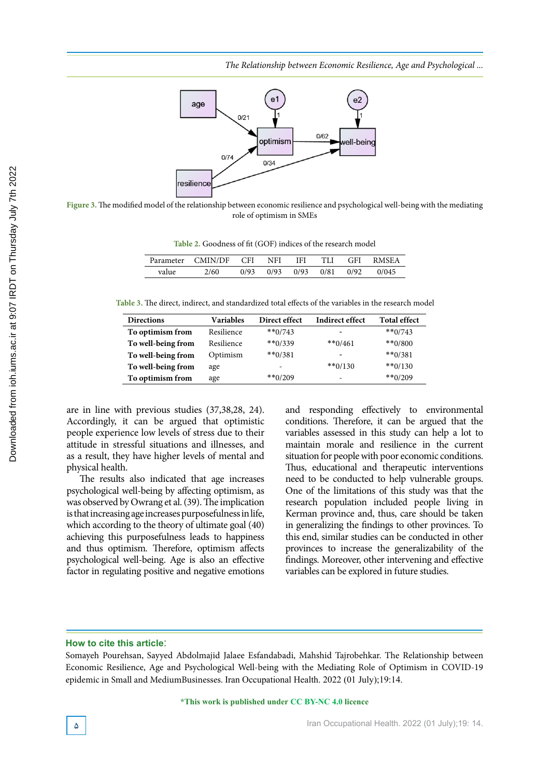*The Relationship between Economic Resilience, Age and Psychological ...*



**Figure 3.** The modified model of the relationship between economic resilience and psychological well-being with the mediating role of optimism in SMEs

**Table 2.** Goodness of fit (GOF) indices of the research model

|       | Parameter CMIN/DF | CFI <sup>-</sup> | <b>NFI</b> | <b>IFI</b>     | TLI GFI | <b>RMSEA</b> |
|-------|-------------------|------------------|------------|----------------|---------|--------------|
| value | 2/60              | 0/93             | 0/93       | 0/93 0/81 0/92 |         | 0/045        |

**Table 3: The direct, indirect, and standardized total effects of the variables in the research model Table 3.** The direct, indirect, and standardized total effects of the variables in the research model

| <b>Directions</b>  | <b>Variables</b> | Direct effect | Indirect effect          | <b>Total effect</b> |
|--------------------|------------------|---------------|--------------------------|---------------------|
| To optimism from   | Resilience       | $**0/743$     | $\overline{\phantom{0}}$ | $**0/743$           |
| To well-being from | Resilience       | $**0/339$     | $**0/461$                | $**0/800$           |
| To well-being from | Optimism         | $**0/381$     | $\overline{\phantom{0}}$ | $**0/381$           |
| To well-being from | age              |               | $**0/130$                | $**0/130$           |
| To optimism from   | age              | $**0/209$     | $\overline{\phantom{0}}$ | $**0/209$           |

are in line with previous studies (37,38,28, 24). Accordingly, it can be argued that optimistic people experience low levels of stress due to their attitude in stressful situations and illnesses, and as a result, they have higher levels of mental and physical health.

The results also indicated that age increases psychological well-being by affecting optimism, as was observed by Owrang et al. (39). The implication is that increasing age increases purposefulness in life, which according to the theory of ultimate goal (40) achieving this purposefulness leads to happiness and thus optimism. Therefore, optimism affects psychological well-being. Age is also an effective factor in regulating positive and negative emotions and responding effectively to environmental conditions. Therefore, it can be argued that the variables assessed in this study can help a lot to maintain morale and resilience in the current situation for people with poor economic conditions. Thus, educational and therapeutic interventions need to be conducted to help vulnerable groups. One of the limitations of this study was that the research population included people living in Kerman province and, thus, care should be taken in generalizing the findings to other provinces. To this end, similar studies can be conducted in other provinces to increase the generalizability of the findings. Moreover, other intervening and effective variables can be explored in future studies.

#### **How to cite this article**:

Somayeh Pourehsan, Sayyed Abdolmajid Jalaee Esfandabadi, Mahshid Tajrobehkar. The Relationship between Economic Resilience, Age and Psychological Well-being with the Mediating Role of Optimism in COVID-19 epidemic in Small and MediumBusinesses. Iran Occupational Health. 2022 (01 July);19:14.

**\*This work is published under CC BY-NC 4.0 licence**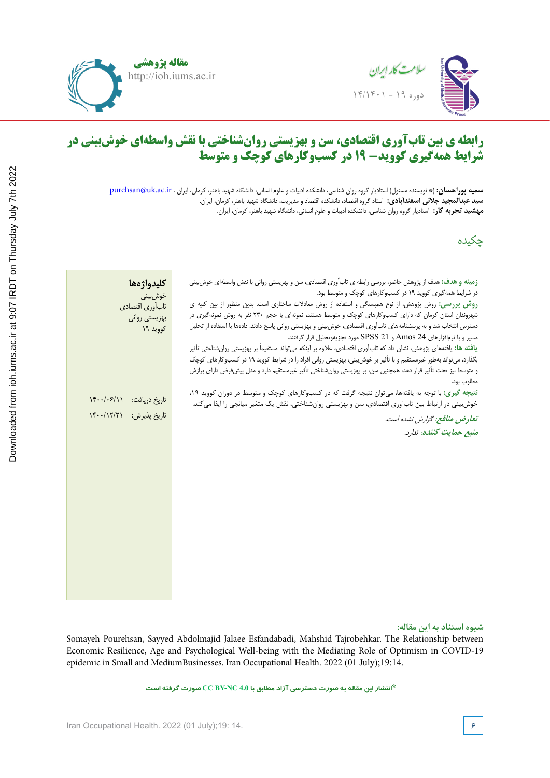

**مقاله پژوهشی** http://ioh.iums.ac.ir



#### **Lighting and color temperature assessment in the office workplaces and relationship to visual fatigue Lighting and color temperature assessment in the office workplaces and رابطه ی بین تابآوری اقتصادی، سن و بهزیستی روانشناختی با نقش واسطهای خوشبینی در شرایط همهگیری کووید- 19 در کسبوکارهای کوچک و متوسط**

**سميه پوراحس** Hamadan, Iran **سید عبدالمجید جالئی اسفندآبادی:** استاد گروه اقتصاد، دانشکده اقتصاد و مدیریت، دانشگاه شهید باهنر، کرمان، ایران. م**عشيد تحري** سمیه پوراحسان: (\* نویسنده مسئول) استادیار گروه روان شناسی، دانشکده ادبیات و علوم انسانی، دانشگاه شهید باهنر، کرمان، ایران . purehsan@uk.ac.ir **مهشید تجربه کار:** استادیار گروه روان شناسی، دانشکده ادبیات و علوم انسانی، دانشگاه شهید باهنر، کرمان، ایران.

چکیده

Medical Sciences, Hamadan, Iran

|                          | كليدواژهها       | زمینه و هدف: هدف از پژوهش حاضر، بررسی رابطه ی تابآوری اقتصادی، سن و بهزیستی روانی با نقش واسطهای خوش بینی            |
|--------------------------|------------------|----------------------------------------------------------------------------------------------------------------------|
|                          | خوش بينى         | در شرایط همهگیری کووید ۱۹ در کسبوکارهای کوچک و متوسط بود.                                                            |
|                          | تاب آوري اقتصادي | روش بررسی: روش پژوهش، از نوع همبستگی و استفاده از روش معادلات ساختاری است. بدین منظور از بین کلیه ی                  |
|                          | بهزيستي رواني    | شهروندان استان کرمان که دارای کسبوکارهای کوچک و متوسط هستند، نمونهای با حجم ۲۳۰ نفر به روش نمونهگیری در              |
|                          | کووید ۱۹         | دسترس انتخاب شد و به پرسشنامههای تابآوری اقتصادی، خوش بینی و بهزیستی روانی پاسخ دادند. دادهها با استفاده از تحلیل    |
|                          |                  | مسير و با نرمافزارهاي Amos 24 و SPSS 21 مورد تجزيهوتحليل قرار گرفتند.                                                |
|                          |                  | یافته ها: یافتههای پژوهش، نشان داد که تابآوری اقتصادی، علاوه بر اینکه میتواند مستقیماً بر بهزیستی روانشناختی تأثیر   |
|                          |                  | بگذارد، می تواند بهطور غیرمستقیم و با تأثیر بر خوش بینی، بهزیستی روانی افراد را در شرایط کووید ۱۹ در کسبوکارهای کوچک |
|                          |                  | و متوسط نیز تحت تأثیر قرار دهد، همچنین سن، بر بهزیستی روانشناختی تأثیر غیرمستقیم دارد و مدل پیشفرض دارای برازش       |
|                          |                  | مطلوب بود.                                                                                                           |
| تاريخ دريافت: ١۴٠٠/٠۶/١١ |                  | نتیجه گیری: با توجه به یافتهها، میتوان نتیجه گرفت که در کسبوکارهای کوچک و متوسط در دوران کووید ۱۹،                   |
|                          |                  | خوشبینی در ارتباط بین تابآوری اقتصادی، سن و بهزیستی روانشناختی، نقش یک متغیر میانجی را ایفا میکند.                   |
| $\frac{16.1}{17.1}$      | تاريخ پذيرش:     | تعارض منافع: گزارش نشده است.                                                                                         |
|                          |                  | منبع حمايت كننده: ندارد.                                                                                             |
|                          |                  |                                                                                                                      |
|                          |                  |                                                                                                                      |
|                          |                  |                                                                                                                      |
|                          |                  |                                                                                                                      |
|                          |                  |                                                                                                                      |
|                          |                  |                                                                                                                      |
|                          |                  |                                                                                                                      |
|                          |                  |                                                                                                                      |
|                          |                  |                                                                                                                      |
|                          |                  |                                                                                                                      |
|                          |                  |                                                                                                                      |
|                          |                  |                                                                                                                      |
|                          |                  |                                                                                                                      |
|                          |                  |                                                                                                                      |

#### level of the individual eye level was measured at the user's point of view and the مسيوه استنا **شیوه استناد به این مقاله:**

Somayeh Pourehsan, Sayyed Abdolmajid Jalaee Esfandabadi, Mahshid Tajrobehkar. The Relationship between Economic Resilience, Age and Psychological Well-being with the Mediating Role of Optimism in COVID-19 epidemic in Small and MediumBusinesses. Iran Occupational Health. 2022 (01 July);19:14.

**\*انتشار این مقاله به صورت دسترسی آزاد مطابق با 4.0 NC-BY CC صورت گرفته است**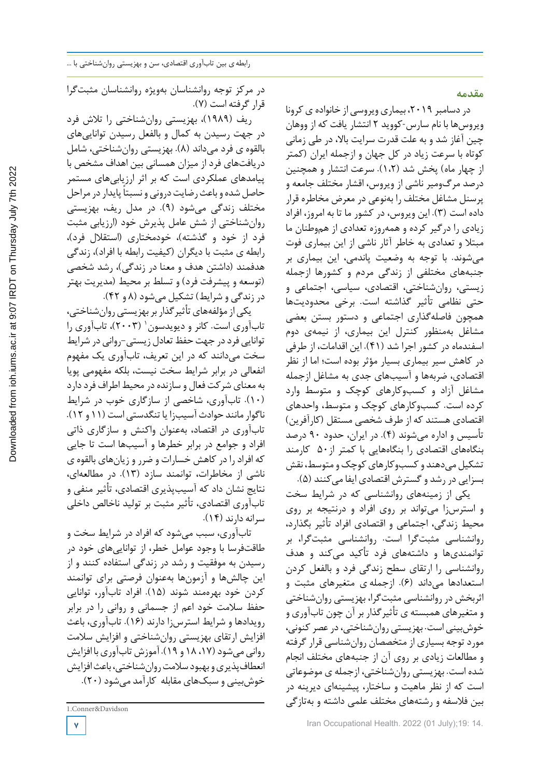**مقدمه**

در دسامبر ۲۰۱۹، بیماری ویروسی از خانواده ی کرونا ویروسها با نام سارس-کووید 2 انتشار یافت که از ووهان چین آغاز شد و به علت قدرت سرایت بالا، در طی زمانی کوتاه با سرعت زیاد در کل جهان و ازجمله ایران (کمتر از چهار ماه) پخش شد (1،2). سرعت انتشار و همچنین درصد مرگومیر ناشی از ویروس، اقشار مختلف جامعه و پرسنل مشاغل مختلف را بهنوعی در معرض مخاطره قرار داده است (3). این ویروس، در کشور ما تا به امروز، افراد زیادی را درگیر کرده و همهروزه تعدادی از هموطنان ما مبتلا و تعدادی به خاطر آثار ناشی از این بیماری فوت میشوند. با توجه به وضعیت پاندمی، این بیماری بر جنبههای مختلفی از زندگی مردم و کشورها ازجمله زیستی، روانشناختی، اقتصادی، سیاسی، اجتماعی و حتی نظامی تأثیر گذاشته است. برخی محدودیتها همچون فاصلهگذاری اجتماعی و دستور بستن بعضی مشاغل بهمنظور کنترل این بیماری، از نیمهی دوم اسفندماه در کشور اجرا شد (41). این اقدامات، از طرفی در کاهش سیر بیماری بسیار مؤثر بوده است؛ اما از نظر اقتصادی، ضربهها و آسیبهای جدی به مشاغل ازجمله مشاغل آزاد و کسبوکارهای کوچک و متوسط وارد کرده است. کسبوکارهای کوچک و متوسط، واحدهای اقتصادی هستند که از طرف شخصی مستقل (کارآفرین) تأسیس و اداره میشوند (4). در ایران، حدود 90 درصد بنگاههای اقتصادی را بنگاههایی با کمتر از50 کارمند تشکیل میدهند و کسب وکارهای کوچک و متوسط، نقش بسزایی در رشد و گسترش اقتصادی ایفا می کنند (۵).

یکی از زمینههای روانشناسی که در شرایط سخت و استرسزا میتواند بر روی افراد و درنتیجه بر روی محیط زندگی، اجتماعی و اقتصادی افراد تأثیر بگذارد، روانشناسی مثبتگرا است. روانشناسی مثبتگرا، بر توانمندیها و داشتههای فرد تأکید میکند و هدف روانشناسی را ارتقای سطح زندگی فرد و بالفعل کردن استعدادها میداند (6). ازجمله ی متغیرهای مثبت و اثربخش در روانشناسی مثبتگرا، بهزیستی روانشناختی و متغیرهای همبسته ی تأثیرگذار بر آن چون تابآوری و خوشبینی است. بهزیستی روانشناختی،درعصرکنونی، مورد توجه بسیاری از متخصصان روانشناسی قرار گرفته و مطالعات زیادی بر روی آن از جنبههای مختلف انجام شده است. بهزیستی روانشناختی، ازجمله ی موضوعاتی است که از نظر ماهیت و ساختار، پیشینهای دیرینه در بین فلاسفه و رشتههای مختلف علمی داشته و بهتازگی

در جهت رسیدن به کمال و بالفعل رسیدن تواناییهای بالقوه ی فرد میداند (8). بهزیستی روانشناختی، شامل دریافتهای فرد از میزان همسانی بین اهداف مشخص با پیامدهای عملکردی است که بر اثر ارزیابیهای مستمر حاصل شده و باعث رضایت درونی و نسبتاً پایدار در مراحل مختلف زندگی میشود (9). در مدل ریف، بهزیستی روانشناختی از شش عامل پذیرش خود (ارزیابی مثبت فرد از خود و گذشته)، خودمختاری (استقلال فرد)، رابطه ی مثبت با دیگران (کیفیت رابطه با افراد)، زندگی هدفمند (داشتن هدف و معنا در زندگی)، رشد شخصی (توسعه و پیشرفت فرد) و تسلط بر محیط (مدیریت بهتر در زندگی و شرایط) تشکیل میشود (8 و 42).

یکیازمؤلفههایتأثیرگذاربربهزیستیروانشناختی، تابآوری است. کانر و دیویدسون` (۲۰۰۳)، تابآوری را توانایی فرد در جهت حفظ تعادل زیستی-روانی در شرایط سخت میدانند که در این تعریف، تابآوری یک مفهوم انفعالی در برابر شرایط سخت نیست، بلکه مفهومی پویا به معنای شرکت فعال و سازندهدر محیطاطراف فرددارد (10). تابآوری، شاخصی از سازگاری خوب در شرایط ناگوارمانند حوادثآسیبزا یا تنگدستیاست (11 و 12). تابآوری در اقتصاد، بهعنوان واکنش و سازگاری ذاتی افراد و جوامع در برابر خطرها و آسیبها است تا جایی که افراد را در کاهش خسارات و ضرر و زیانهای بالقوه ی ناشی از مخاطرات، توانمند سازد (13). در مطالعهای، نتایج نشان داد که آسیبپذیری اقتصادی، تأثیر منفی و تابآوری اقتصادی، تأثیر مثبت بر تولید ناخالص داخلی سرانه دارند (14).

تابآوری، سبب میشود که افراد در شرایط سخت و طاقتفرسا با وجود عوامل خطر، از تواناییهای خود در رسیدن به موفقیت و رشد در زندگی استفاده کنند و از این چالشها و آزمونها بهعنوان فرصتی برای توانمند کردن خود بهرهمند شوند (15). افراد تابآور، توانایی حفظ سلامت خود اعم از جسمانی و روانی را در برابر رویدادها و شرایط استرسزا دارند (16). تابآوری، باعث افزایش ارتقای بهزیستی روانشناختی و افزایش سلامت روانی می شود (۱۷، ۱۸ و ۱۹). آموزش تابآوری با افزایش انعطافپذیری و بهبود سلامت روان شناختی، باعث افزایش خوشبینی و سبکهای مقابله کارآمد میشود (20).

<sup>1.</sup>Conner&Davidson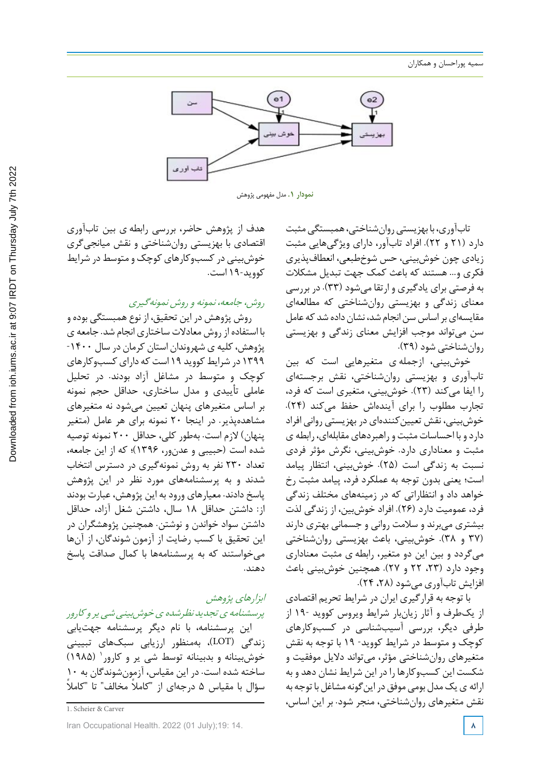

**نمودار .1** مدل مفهومی پژوهش

تابآوری، با بهزیستی روانشناختی، همبستگی مثبت دارد (21 و 22). افراد تابآور، دارای ویژگیهایی مثبت زیادی چون خوشبینی، حس شوخطبعی، انعطافپذیری فکری و... هستند که باعث کمک جهت تبدیل مشکلات به فرصتی برای یادگیری و ارتقا میشود (33). در بررسی معنای زندگی و بهزیستی روانشناختی که مطالعهای مقایسهای بر اساس سن انجام شد، نشان داده شد که عامل سن میتواند موجب افزایش معنای زندگی و بهزیستی روانشناختی شود (39).

خوشبینی، ازجمله ی متغیرهایی است که بین تابآوری و بهزیستی روانشناختی، نقش برجستهای را ایفا میکند (23). خوشبینی، متغیری است که فرد، تجارب مطلوب را برای آیندهاش حفظ میکند (24). خوشبینی، نقش تعیینکنندهای در بهزیستی روانی افراد داردو با احساساتمثبت و راهبردهای مقابلهای، رابطه ی مثبت و معناداری دارد. خوشبینی، نگرش مؤثر فردی نسبت به زندگی است (25). خوشبینی، انتظار پیامد است؛ یعنی بدون توجه به عملکرد فرد، پیامد مثبت رخ خواهد داد و انتظاراتی که در زمینههای مختلف زندگی فرد، عمومیت دارد (26). افراد خوشبین، از زندگی لذت بیشتری میبرند و سلامت روانی و جسمانی بهتری دارند (37 و 38). خوشبینی، باعث بهزیستی روانشناختی میگردد و بین این دو متغیر، رابطه ی مثبت معناداری وجود دارد (،23 22 و 27). همچنین خوشبینی باعث افزایش تابآوری میشود (،28 24).

با توجه به قرارگیری ایران در شرایط تحریم اقتصادی از یکطرف و آثار زیانبار شرایط ویروس کووید 19- از طرفی دیگر، بررسی آسیبشناسی در کسبوکارهای کوچک و متوسط در شرایط کووید- 19 با توجه به نقش متغیرهای روانشناختی مؤثر، میتواند دلایل موفقیت و شکست این کسبوکارها را در این شرایط نشان دهد و به ارائه ی یک مدل بومی موفق در این گونه مشاغل با توجه به نقش متغیرهای روانشناختی، منجر شود. بر این اساس،

هدف از پژوهش حاضر، بررسی رابطه ی بین تابآوری اقتصادی با بهزیستی روانشناختی و نقش میانجیگری خوشبینی درکسبوکارهای کوچک و متوسطدر شرایط کووید19- است.

روش، جامعه، نمونه <sup>و</sup> روش نمونهگیری

روش پژوهش در این تحقیق، از نوع همبستگی بوده و با استفاده از روش معادلات ساختاری انجام شد. جامعه ی پژوهش،کلیه ی شهروندان استان کرمان در سال -1400 1۳۹۹ در شرایط کووید ۱۹ است که دارای کسب وکارهای کوچک و متوسط در مشاغل آزاد بودند. در تحلیل عاملی تأییدی و مدل ساختاری، حداقل حجم نمونه بر اساس متغیرهای پنهان تعیین میشود نه متغیرهای مشاهدهپذیر. در اینجا 20 نمونه برای هر عامل (متغیر پنهان) لازم است. بهطور کلی، حداقل 200 نمونه توصیه شده است (حبیبی و عدنور، 1396)؛ که از این جامعه، تعداد 230 نفر به روش نمونهگیری در دسترس انتخاب شدند و به پرسشنامههای مورد نظر در این پژوهش پاسخ دادند. معیارهای ورود به این پژوهش، عبارت بودند از: داشتن حداقل 18 سال، داشتن شغل آزاد، حداقل داشتن سواد خواندن و نوشتن. همچنین پژوهشگران در این تحقیق با کسب رضایت از آزمون شوندگان، از آنها میخواستند که به پرسشنامهها با کمال صداقت پاسخ دهند.

# ابزارهای پژوهش

پرسشنامه ی تجدید نظرشده ی خوش بینی شپی پر و کارور این پرسشنامه، با نام دیگر پرسشنامه جهتیابی زندگی (LOT(، بهمنظور ارزیابی سبکهای تبیینی (1985) <sup>1</sup> خوشبینانه و بدبینانه توسط شی یر و کارور ساخته شده است. در این مقیاس، آزمونشوندگان به 10 سؤال با مقیاس ۵ درجهای از "کاملاً مخالف" تا "کاملاً

1. Scheier & Carver

Iran Occupational Health. 2022 (01 July);19: 14. **8**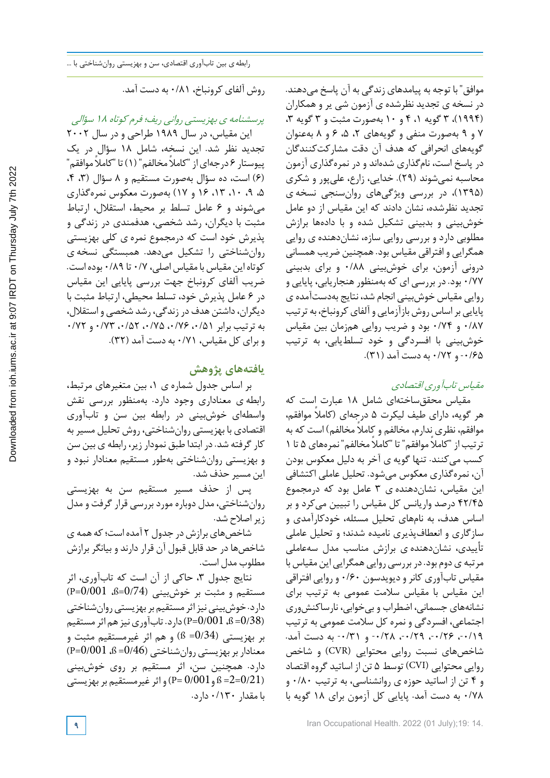موافق" با توجه به پیامدهای زندگی به آن پاسخ میدهند. در نسخه ی تجدید نظرشده ی آزمون شی یر و همکاران (۱۹۹۴)، ۳ گویه ۰٫ ۴ و ۱۰ بهصورت مثبت و ۳ گویه ۳، 7 و 9 بهصورت منفی و گویههای ،2 ،5 6 و 8 بهعنوان گویههای انحرافی که هدف آن دقت مشارکتکنندگان در پاسخ است، نامگذاری شدهاند و در نمرهگذاری آزمون محاسبه نمیشوند (29). خدایی، زارع، علیپور و شکری (1395)، در بررسی ویژگیهای روانسنجی نسخه ی تجدید نظرشده، نشان دادند که این مقیاس از دو عامل خوشبینی و بدبینی تشکیل شده و با دادهها برازش مطلوبی دارد و بررسی روایی سازه، نشاندهنده ی روایی همگرایی و افتراقی مقیاس بود. همچنین ضریب همسانی درونی آزمون، برای خوشبینی 0/88 و برای بدبینی 0/77 بود. در بررسی ای که بهمنظورهنجاریابی، پایایی و روایی مقیاس خوشبینی انجام شد، نتایج بهدستآمده ی پایایی بر اساس روش بازآزمایی و آلفای کرونباخ، به ترتیب 0/87 و 0/74 بود و ضریب روایی همزمان بین مقیاس خوشبینی با افسردگی و خود تسلطیابی، به ترتیب -0/65 و 0/72 به دست آمد (31).

## مقیاس تابآوری اقتصادی

مقیاس محققساختهای شامل 18 عبارت است که هر گویه، دارای طیف لیکرت 5 درجهای ( ً کاملا موافقم، موافقم، نظری ندارم، مخالفم و ً کاملا مخالفم) است که به ترتیب از " ً کاملا موافقم" تا " ً کاملا مخالفم" نمرههای 5 تا 1 کسب میکنند. تنها گویه ی آخر به دلیل معکوس بودن آن، نمرهگذاری معکوس میشود. تحلیل عاملی اکتشافی این مقیاس، نشاندهنده ی 3 عامل بود که درمجموع 42/45 درصد واریانس کل مقیاس را تبیین میکرد و بر اساس هدف، به نامهای تحلیل مسئله، خودکارآمدی و سازگاری و انعطافپذیری نامیده شدند؛ و تحلیل عاملی تأییدی، نشاندهنده ی برازش مناسب مدل سهعاملی مرتبه یدوم بود. دربررسی روایی همگرایی این مقیاس با مقیاس تابآوری کانرودیویدسون 0/60 و روایی افتراقی این مقیاس با مقیاس سلامت عمومی به ترتیب برای نشانههای جسمانی، اضطراب و بیخوابی، نارساکنشوری اجتماعی، افسردگی و نمره کل سلامت عمومی به ترتیب ۰/۱۹-، ۰/۲۶-، ۰/۲۹-، ۰/۲۸- و ۰/۳۱- به دست آمد. شاخصهای نسبت روایی محتوایی (CVR (و شاخص روایی محتوایی (CVI (توسط 5 تن از اساتید گروه اقتصاد و 4 تن از اساتید حوزه ی روانشناسی، به ترتیب 0/80 و 0/78 به دست آمد. پایایی کل آزمون برای 18 گویه با

روش آلفای کرونباخ، 0/81 به دست آمد.

پرسشنامه <sup>ی</sup> بهزیستی روانی ریف؛ فرم کوتاه <sup>18</sup> سؤالی این مقیاس، در سال ۱۹۸۹ طراحی و در سال ۲۰۰۲

تجدید نظر شد. این نسخه، شامل 18 سؤال در یک پیوستار ۶ درجهای از "کاملاً مخالفم" (۱) تا "کاملاً موافقم" (6) است، ده سؤال بهصورت مستقیم و 8 سؤال (،3 ،4 ،5 ،9 ،10 ،13 16 و 17) بهصورت معکوس نمرهگذاری میشوند و 6 عامل تسلط بر محیط، استقلال، ارتباط مثبت با دیگران، رشد شخصی، هدفمندی در زندگی و پذیرش خود است که درمجموع نمره ی کلی بهزیستی روانشناختی را تشکیل میدهد. همبستگی نسخه ی کوتاهاین مقیاس بامقیاس اصلی، 0/7 تا 0/89 بودهاست. ضریب آلفای کرونباخ جهت بررسی پایایی این مقیاس در 6 عامل پذیرش خود، تسلط محیطی، ارتباط مثبت با دیگران،داشتن هدفدر زندگی، رشد شخصی و استقلال، به ترتیب برابر ،0/51 ،0/76 ،0/75 ،0/52 0/73 و 0/72 و برای کل مقیاس، 0/71 به دست آمد (32).

## **یافتههای پژوهش**

بر اساس جدول شماره ی ،1 بین متغیرهای مرتبط، رابطه ی معناداری وجود دارد. بهمنظور بررسی نقش واسطهای خوشبینی در رابطه بین سن و تابآوری اقتصادی با بهزیستی روانشناختی، روش تحلیل مسیربه کارگرفته شد. در ابتدا طبق نمودار زیر، رابطه ی بین سن و بهزیستی روانشناختی بهطور مستقیم معنادار نبود و این مسیر حذف شد.

پس از حذف مسیر مستقیم سن به بهزیستی روانشناختی، مدل دوباره موردبررسی قرار گرفت و مدل زیراصلاح شد.

شاخصهایبرازش در جدول 2 آمدهاست؛که همه ی شاخصها در حد قابل قبول آن قرار دارند و بیانگر برازش مطلوب مدل است.

نتایج جدول ۳، حاکی از آن است که تابآوری، اثر  $(P=0/001$  هستقیم و مثبت بر خوش بینی  $(0/74)$ =ß،  $(0.001$ دارد. خوشبینی نیز اثر مستقیم بر بهزیستی روانشناختی (9/001 $^{16}$ ،  $^{18}$ =0/001) دارد. تابآوری نیز هم اثر مستقیم بر بهزیستی (0/34= ß (و هم اثر غیرمستقیم مثبت و معناداربربهزیستی روانشناختی (0/46= ß، 0/001=P ( دارد. همچنین سن، اثر مستقیم بر روی خوشبینی و P=  $0$ /001 و P= (0/001) و اثر غیرمستقیم بر بهزیستی P=  $\pm$  3.5  $\pm$ با مقدار 0/130 دارد.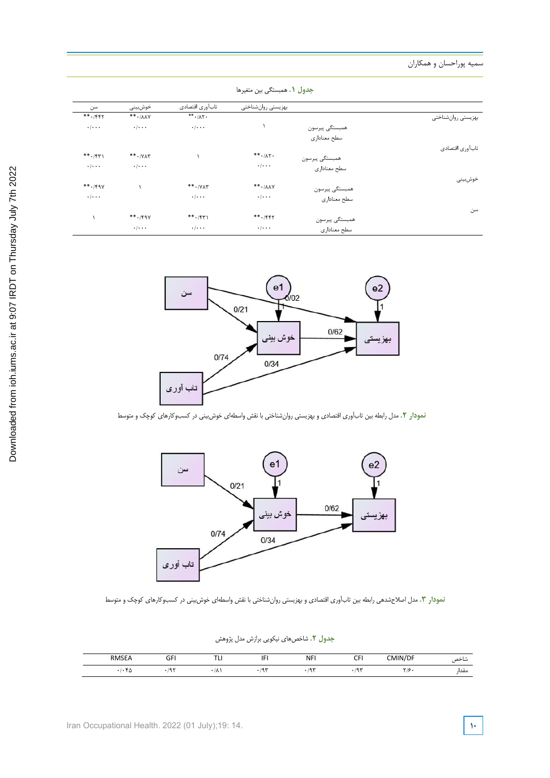سمیه پوراحسان و همکاران

|                    |                | بهزيستي روانشناختي                  | تابآوري اقتصادي                            | خوش بينى                           | سن                        |
|--------------------|----------------|-------------------------------------|--------------------------------------------|------------------------------------|---------------------------|
| بهزيستي روانشناختي |                |                                     | $**$ $\cdot$ / $\wedge$ $\uparrow$ $\cdot$ | $***$ $\cdot$ / $\lambda\lambda$ Y | $***$ ./۴۴۲               |
|                    | همبستگى پيرسون |                                     | $\cdot$ / $\cdot$ $\cdot$                  | $\cdot$ / $\cdot$ $\cdot$          | $\cdot$ / $\cdot$ $\cdot$ |
|                    | سطح معناداري   |                                     |                                            |                                    |                           |
| تاب آوري اقتصادي   |                |                                     |                                            |                                    |                           |
|                    | همبستگي پيرسون | $***$ $\cdot$ / $\wedge$ $\cdot$    |                                            | $**$ $\cdot$ / Y $\wedge$ $*$      | $***$ . $/571$            |
|                    | سطح معناداري   | $\cdot$ / $\cdot$ $\cdot$           |                                            | $\cdot$ / $\cdot$ .                | $\cdot$ / $\cdot$ $\cdot$ |
| خوش بينى           |                |                                     |                                            |                                    |                           |
|                    | همبستگى پيرسون | $***$ $\cdot$ / $\wedge$ $\wedge$ Y | $***.$ $/YAT$                              |                                    | $***.$ /۴۹۷               |
|                    | سطح معناداري   | $\cdot$ / $\cdot$ $\cdot$           | $\cdot$ / $\cdot$ $\cdot$                  |                                    | $\cdot$ / $\cdot$ $\cdot$ |
| سن                 |                |                                     |                                            |                                    |                           |
|                    | همبستگى پيرسون | $***$ ./۴۴۲                         | $***$ . $*$                                | $***$ ./۴۹۷                        |                           |
|                    | سطح معناداري   | $\cdot$ / $\cdot$ $\cdot$           | $\cdot$ / $\cdot$ $\cdot$                  | $\cdot$ / $\cdot$ $\cdot$          |                           |



**نمودار .2** مدل رابطه بین تابآوری اقتصادی و بهزیستی روانشناختی با نقش واسطهای خوشبینی در کسبوکارهای کوچک و متوسط



**نمودار .3** مدل اصالحشدهی رابطه بین تابآوری اقتصادی و بهزیستی روانشناختی با نقش واسطهای خوشبینی در کسبوکارهای کوچک و متوسط

| ج <b>دول ۲.</b> شاخصهای نیکویی برازش مدل پژوهش |  |
|------------------------------------------------|--|
|------------------------------------------------|--|

| <b>RMSEA</b> | $\sim$<br>J۲<br>$-$ | TTL<br>. .<br>$\cdot$ $-$ | ıг<br>. .<br><br>$\cdots$ | <b>NFI</b><br>. | $\sim$<br>. . | 11N/L<br>$^{\circ}$ M <sub>1</sub> .<br>J/DF<br>ᅴᄞ | شاحص  |
|--------------|---------------------|---------------------------|---------------------------|-----------------|---------------|----------------------------------------------------|-------|
| س ۱          | $\sim$<br>. .       | $\cdot$ / $\wedge$ .      | 10M<br>٦                  | س ۾ ر           | 19.4          | Y/G<br>, 17                                        | معدا، |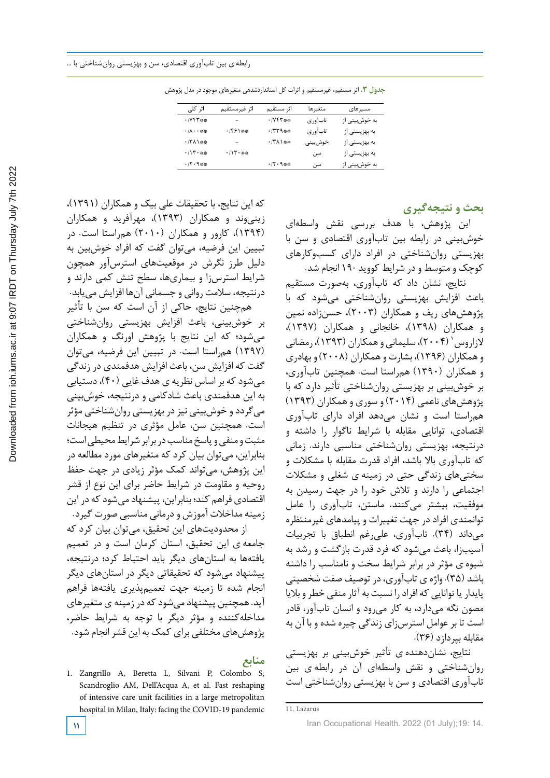جدول :3 اثر مستقیم، غیرمستقیم و اثرات کل استانداردشدهی متغیرهای موجود در مدل پژوهش **جدول .3** اثر مستقیم، غیرمستقیم و اثرات کل استانداردشدهی متغیرهای موجود در مدل پژوهش

| اثر کلی                           | اثر غيرمستقيم               | اثر مستقيم                                              | متغيرها    | مسیرهای       |
|-----------------------------------|-----------------------------|---------------------------------------------------------|------------|---------------|
| $\cdot$ / $V$ $V^*$ $\ast$ $\ast$ | -                           | $\cdot$ / Y $\uparrow$ $\uparrow$ $\uparrow$ $\uparrow$ | تاب آور ی  | به خوشبینی از |
| $\cdot/\lambda\cdot\cdot$ **      | ۰/۴۶۱**                     | $+779$ **                                               | تابآوري    | به بهزیستی از |
| $\cdot$ /۳۸۱**                    | $\overline{\phantom{0}}$    | $\cdot$ /۳۸۱**                                          | خوش بینے ِ | به بهزیستی از |
| $\cdot/\mathcal{N}\cdot$ **       | $\cdot/\mathcal{N}\cdot$ ** |                                                         | سن         | به بهزیستی از |
| $\cdot$ /٢٠٩**                    |                             | ・/۲・۹※※                                                 | سن         | به خوشبینی از |

**بحث و نتیجهگیری**

این پژوهش، با هدف بررسی نقش واسطهای خوشبینی در رابطه بین تابآوری اقتصادی و سن با بهزیستی روانشناختی در افراد دارای کسبوکارهای کوچک و متوسط ودر شرایط کووید 19- انجام شد.

نتایج، نشان داد که تابآوری، بهصورت مستقیم باعث افزایش بهزیستی روانشناختی میشود که با پژوهشهای ریف و همکاران (2003)، حسنزاده نمین و همکاران (1398)، خانجانی و همکاران (1397)، لازاروس (۲۰۰۴)، سلیمانی و همکاران (۱۳۹۳)، رمضانی وهمکاران (1396)، بشارت وهمکاران (2008) و بهادری و همکاران (1390) همراستا است. همچنین تابآوری، بر خوشبینی بر بهزیستی روانشناختی تأثیر دارد که با پژوهشهای ناعمی (2014) و سوری وهمکاران (1393) همراستا است و نشان میدهد افراد دارای تابآوری اقتصادی، توانایی مقابله با شرایط ناگوار را داشته و درنتیجه، بهزیستی روانشناختی مناسبی دارند. زمانی که تابآوری بالا باشد، افراد قدرت مقابله با مشکلات و سختیهای زندگی حتی در زمینه ی شغلی و مشکلات اجتماعی را دارند و تلاش خود را در جهت رسیدن به موفقیت، بیشتر میکنند. ماستن، تابآوری را عامل توانمندی افراد در جهت تغییرات و پیامدهای غیرمنتظره میداند (34). تابآوری، علیرغم انطباق با تجربیات آسیبزا، باعث میشود که فرد قدرت بازگشت و رشد به شیوه ی مؤثر در برابر شرایط سخت و نامناسب را داشته باشد (35). واژه ی تابآوری،در توصیف صفت شخصیتی پایدار یا توانایی که افرادرا نسبت به آثار منفی خطرو بلایا مصون نگه میدارد، به کار میرود و انسان تابآور، قادر است تا بر عوامل استرسزای زندگی چیره شده و با آن به مقابله بپردازد (36).

نتایج، نشاندهنده ی تأثیر خوشبینی بر بهزیستی روانشناختی و نقش واسطهای آن در رابطه ی بین تابآوری اقتصادی و سن با بهزیستی روانشناختی است

زینیوند و همکاران (1393)، مهرآفرید و همکاران (1394)، کارور و همکاران (2010) همراستا است. در تبیین این فرضیه، میتوان گفت که افراد خوشبین به دلیل طرز نگرش در موقعیتهای استرسآور همچون شرایط استرسزا و بیماریها، سطح تنش کمی دارند و درنتیجه، سلامت روانی و جسمانی آنها افزایش مییابد. همچنین نتایج، حاکی از آن است که سن با تأثیر بر خوشبینی، باعث افزایش بهزیستی روانشناختی میشود؛ که این نتایج با پژوهش اورنگ و همکاران (1397) همراستا است. در تبیین این فرضیه، میتوان گفت که افزایش سن، باعث افزایش هدفمندی در زندگی میشودکه براساس نظریه ی هدف غایی (40)،دستیابی به این هدفمندی باعث شادکامی و درنتیجه، خوشبینی میگرددو خوشبینی نیزدر بهزیستی روانشناختی مؤثر است. همچنین سن، عامل مؤثری در تنظیم هیجانات مثبت و منفی و پاسخ مناسب در برابر شرایط محیطی است؛ بنابراین، میتوان بیان کرد که متغیرهای مورد مطالعه در این پژوهش، میتواند کمک مؤثر زیادی در جهت حفظ روحیه و مقاومت در شرایط حاضر برای این نوع از قشر اقتصادی فراهم کند؛ بنابراین، پیشنهادمیشودکه در این زمینه مداخلات آموزش ودرمانی مناسبی صورت گیرد.

که این نتایج، با تحقیقات علی بیک و همکاران (1391)،

 از محدودیتهای این تحقیق، میتوان بیان کرد که جامعه ی این تحقیق، استان کرمان است و در تعمیم یافتهها به استانهای دیگر باید احتیاط کرد؛ درنتیجه، پیشنهاد میشود که تحقیقاتی دیگر در استانهای دیگر انجام شده تا زمینه جهت تعمیمپذیری یافتهها فراهم آید. همچنین پیشنهادمیشودکه در زمینه ی متغیرهای مداخلهکننده و مؤثر دیگر با توجه به شرایط حاضر، پژوهشهای مختلفی برای کمک به این قشرانجام شود.

### **منابع**

1. Zangrillo A, Beretta L, Silvani P, Colombo S, Scandroglio AM, Dell'Acqua A, et al. Fast reshaping of intensive care unit facilities in a large metropolitan hospital in Milan, Italy: facing the COVID-19 pandemic

<sup>11.</sup> Lazarus

**<sup>11</sup>** Iran Occupational Health. 2022 (01 July);19: 14.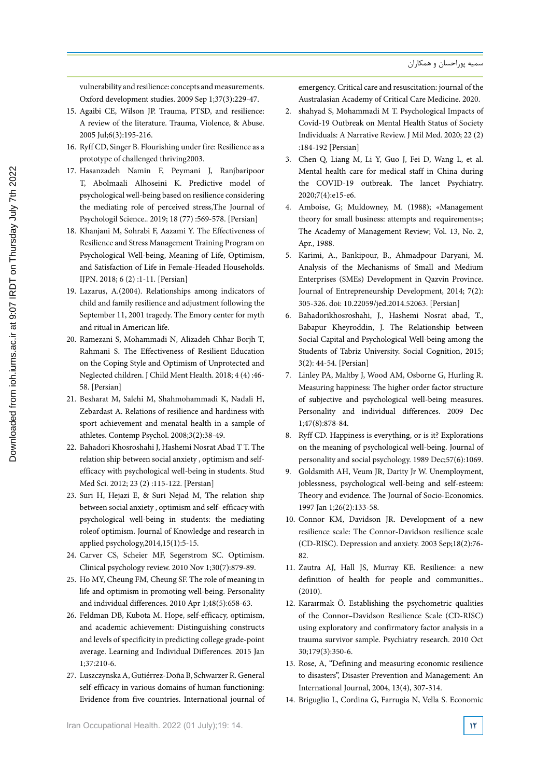vulnerability and resilience: concepts and measurements. Oxford development studies. 2009 Sep 1;37(3):229-47.

- 15. Agaibi CE, Wilson JP. Trauma, PTSD, and resilience: A review of the literature. Trauma, Violence, & Abuse. 2005 Jul;6(3):195-216.
- 16. Ryff CD, Singer B. Flourishing under fire: Resilience as a prototype of challenged thriving2003.
- 17. Hasanzadeh Namin F, Peymani J, Ranjbaripoor T, Abolmaali Alhoseini K. Predictive model of psychological well-being based on resilience considering the mediating role of perceived stress,The Journal of Psychologil Science.. 2019; 18 (77) :569-578. [Persian]
- 18. Khanjani M, Sohrabi F, Aazami Y. The Effectiveness of Resilience and Stress Management Training Program on Psychological Well-being, Meaning of Life, Optimism, and Satisfaction of Life in Female-Headed Households. IJPN. 2018; 6 (2) :1-11. [Persian]
- 19. Lazarus, A.(2004). Relationships among indicators of child and family resilience and adjustment following the September 11, 2001 tragedy. The Emory center for myth and ritual in American life.
- 20. Ramezani S, Mohammadi N, Alizadeh Chhar Borjh T, Rahmani S. The Effectiveness of Resilient Education on the Coping Style and Optimism of Unprotected and Neglected children. J Child Ment Health. 2018; 4 (4) :46- 58. [Persian]
- 21. Besharat M, Salehi M, Shahmohammadi K, Nadali H, Zebardast A. Relations of resilience and hardiness with sport achievement and menatal health in a sample of athletes. Contemp Psychol. 2008;3(2):38-49.
- 22. Bahadori Khosroshahi J, Hashemi Nosrat Abad T T. The relation ship between social anxiety , optimism and selfefficacy with psychological well-being in students. Stud Med Sci. 2012; 23 (2) :115-122. [Persian]
- 23. Suri H, Hejazi E, & Suri Nejad M, The relation ship between social anxiety , optimism and self- efficacy with psychological well-being in students: the mediating roleof optimism. Journal of Knowledge and research in applied psychology,2014,15(1):5-15.
- 24. Carver CS, Scheier MF, Segerstrom SC. Optimism. Clinical psychology review. 2010 Nov 1;30(7):879-89.
- 25. Ho MY, Cheung FM, Cheung SF. The role of meaning in life and optimism in promoting well-being. Personality and individual differences. 2010 Apr 1;48(5):658-63.
- 26. Feldman DB, Kubota M. Hope, self-efficacy, optimism, and academic achievement: Distinguishing constructs and levels of specificity in predicting college grade-point average. Learning and Individual Differences. 2015 Jan 1;37:210-6.
- 27. Luszczynska A, Gutiérrez‐Doña B, Schwarzer R. General self-efficacy in various domains of human functioning: Evidence from five countries. International journal of

emergency. Critical care and resuscitation: journal of the Australasian Academy of Critical Care Medicine. 2020.

- 2. shahyad S, Mohammadi M T. Psychological Impacts of Covid-19 Outbreak on Mental Health Status of Society Individuals: A Narrative Review. J Mil Med. 2020; 22 (2) :184-192 [Persian]
- 3. Chen Q, Liang M, Li Y, Guo J, Fei D, Wang L, et al. Mental health care for medical staff in China during the COVID-19 outbreak. The lancet Psychiatry. 2020;7(4):e15-e6.
- 4. Amboise, G; Muldowney, M. (1988); «Management theory for small business: attempts and requirements»; The Academy of Management Review; Vol. 13, No. 2, Apr., 1988.
- 5. Karimi, A., Bankipour, B., Ahmadpour Daryani, M. Analysis of the Mechanisms of Small and Medium Enterprises (SMEs) Development in Qazvin Province. Journal of Entrepreneurship Development, 2014; 7(2): 305-326. doi: 10.22059/jed.2014.52063. [Persian]
- 6. Bahadorikhosroshahi, J., Hashemi Nosrat abad, T., Babapur Kheyroddin, J. The Relationship between Social Capital and Psychological Well-being among the Students of Tabriz University. Social Cognition, 2015; 3(2): 44-54. [Persian]
- 7. Linley PA, Maltby J, Wood AM, Osborne G, Hurling R. Measuring happiness: The higher order factor structure of subjective and psychological well-being measures. Personality and individual differences. 2009 Dec 1;47(8):878-84.
- 8. Ryff CD. Happiness is everything, or is it? Explorations on the meaning of psychological well-being. Journal of personality and social psychology. 1989 Dec;57(6):1069.
- 9. Goldsmith AH, Veum JR, Darity Jr W. Unemployment, joblessness, psychological well-being and self-esteem: Theory and evidence. The Journal of Socio-Economics. 1997 Jan 1;26(2):133-58.
- 10. Connor KM, Davidson JR. Development of a new resilience scale: The Connor‐Davidson resilience scale (CD‐RISC). Depression and anxiety. 2003 Sep;18(2):76- 82.
- 11. Zautra AJ, Hall JS, Murray KE. Resilience: a new definition of health for people and communities.. (2010).
- 12. Karaırmak Ö. Establishing the psychometric qualities of the Connor–Davidson Resilience Scale (CD-RISC) using exploratory and confirmatory factor analysis in a trauma survivor sample. Psychiatry research. 2010 Oct 30;179(3):350-6.
- 13. Rose, A, "Defining and measuring economic resilience to disasters", Disaster Prevention and Management: An International Journal, 2004, 13(4), 307-314.
- 14. Briguglio L, Cordina G, Farrugia N, Vella S. Economic